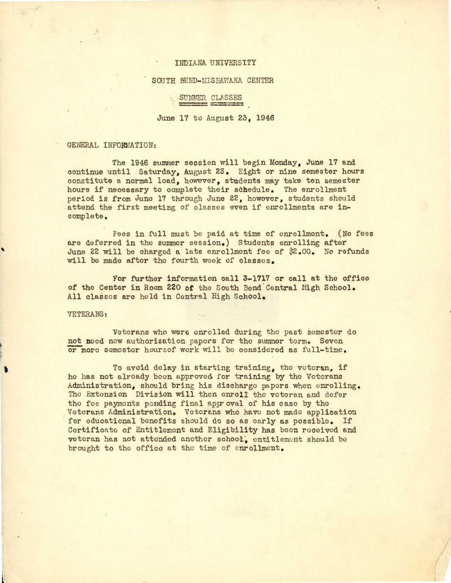### I NDI ANA UNIVERS ITY

#### SOUTH BEND-MISHAWAKA CENTER

## CLASSES SUMMER CLASSES

June 17 to August 23, 1946

## GENERAL INFORMATION:

The 1946 summer session will begin Monday, June 17 and continue until Saturday, August 23. Eight or nine semester hours constitute a normal load, however, students may take ten semester hours if necessary to complete their schedule. The enrollment period is from June 17 through June 22, however, students should attend the first meeting of classes even if enrollments are incomplete.

Fees in full must be paid at time of enrollment. (No fees are deferred in the summer session.) Students enrolling after June 22 will be charged a late enrollment fee of \$2.00. No refunds will be made after the fourth week of classes.

For further information ca ll **3-1717** or call at the office of the Center in Room 220 of the South Bend Central High School. All classes are hold in Central High School.

#### VETERANS :

'

•

Veterans who were enrolled during the past semester do not need now authorization papers for the summer torm. Seven or more semester hours of work will be considered as full-time.

To avoid delay in starting training, the veteran, if he has not already boon approved for training by the Veterans Administration, should bring his discharge papers when enrolling. The Extension Division will then enroll the veteran and defer the foe paymonts pending final approval of his case by the Veterans Administration. Veterans who have not made application for educational benefits should do so as early as possible. If Certificate of Entitlement and Eligibility has been received and veteran has not attended another schood, entitlement should be brought to the office at the time of enrollment.